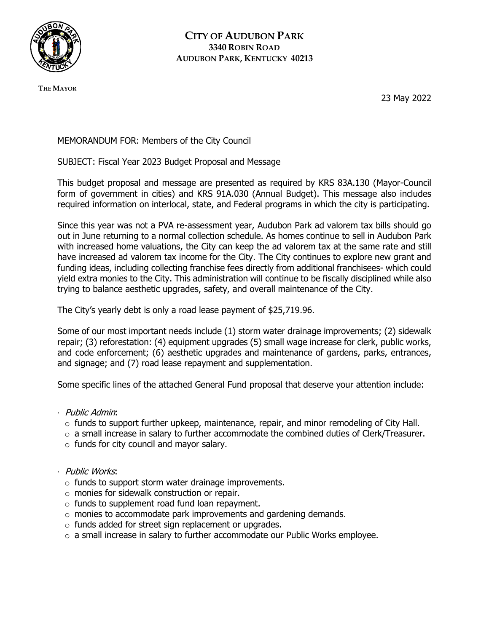

**THE MAYOR**

23 May 2022

MEMORANDUM FOR: Members of the City Council

SUBJECT: Fiscal Year 2023 Budget Proposal and Message

This budget proposal and message are presented as required by KRS 83A.130 (Mayor-Council form of government in cities) and KRS 91A.030 (Annual Budget). This message also includes required information on interlocal, state, and Federal programs in which the city is participating.

Since this year was not a PVA re-assessment year, Audubon Park ad valorem tax bills should go out in June returning to a normal collection schedule. As homes continue to sell in Audubon Park with increased home valuations, the City can keep the ad valorem tax at the same rate and still have increased ad valorem tax income for the City. The City continues to explore new grant and funding ideas, including collecting franchise fees directly from additional franchisees- which could yield extra monies to the City. This administration will continue to be fiscally disciplined while also trying to balance aesthetic upgrades, safety, and overall maintenance of the City.

The City's yearly debt is only a road lease payment of \$25,719.96.

Some of our most important needs include (1) storm water drainage improvements; (2) sidewalk repair; (3) reforestation: (4) equipment upgrades (5) small wage increase for clerk, public works, and code enforcement; (6) aesthetic upgrades and maintenance of gardens, parks, entrances, and signage; and (7) road lease repayment and supplementation.

Some specific lines of the attached General Fund proposal that deserve your attention include:

- · Public Admin:
	- $\circ$  funds to support further upkeep, maintenance, repair, and minor remodeling of City Hall.
	- $\circ$  a small increase in salary to further accommodate the combined duties of Clerk/Treasurer.
	- $\circ$  funds for city council and mayor salary.
- · Public Works:
	- $\circ$  funds to support storm water drainage improvements.
	- o monies for sidewalk construction or repair.
	- $\circ$  funds to supplement road fund loan repayment.
	- $\circ$  monies to accommodate park improvements and gardening demands.
	- $\circ$  funds added for street sign replacement or upgrades.
	- o a small increase in salary to further accommodate our Public Works employee.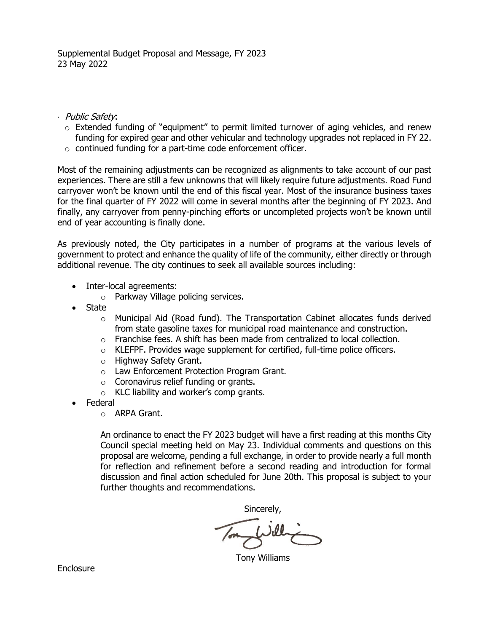- · Public Safety:
	- o Extended funding of "equipment" to permit limited turnover of aging vehicles, and renew funding for expired gear and other vehicular and technology upgrades not replaced in FY 22.
	- o continued funding for a part-time code enforcement officer.

Most of the remaining adjustments can be recognized as alignments to take account of our past experiences. There are still a few unknowns that will likely require future adjustments. Road Fund carryover won't be known until the end of this fiscal year. Most of the insurance business taxes for the final quarter of FY 2022 will come in several months after the beginning of FY 2023. And finally, any carryover from penny-pinching efforts or uncompleted projects won't be known until end of year accounting is finally done.

As previously noted, the City participates in a number of programs at the various levels of government to protect and enhance the quality of life of the community, either directly or through additional revenue. The city continues to seek all available sources including:

- Inter-local agreements:
	- o Parkway Village policing services.
- State
	- $\circ$  Municipal Aid (Road fund). The Transportation Cabinet allocates funds derived from state gasoline taxes for municipal road maintenance and construction.
	- $\circ$  Franchise fees. A shift has been made from centralized to local collection.
	- o KLEFPF. Provides wage supplement for certified, full-time police officers.
	- o Highway Safety Grant.
	- o Law Enforcement Protection Program Grant.
	- o Coronavirus relief funding or grants.
	- o KLC liability and worker's comp grants.
- Federal
	- o ARPA Grant.

An ordinance to enact the FY 2023 budget will have a first reading at this months City Council special meeting held on May 23. Individual comments and questions on this proposal are welcome, pending a full exchange, in order to provide nearly a full month for reflection and refinement before a second reading and introduction for formal discussion and final action scheduled for June 20th. This proposal is subject to your further thoughts and recommendations.

Sincerely,

Jel

Tony Williams

**Enclosure**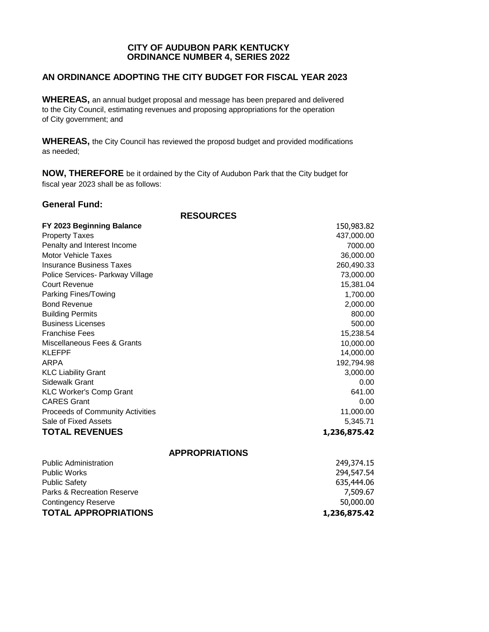## **CITY OF AUDUBON PARK KENTUCKY ORDINANCE NUMBER 4, SERIES 2022**

# **AN ORDINANCE ADOPTING THE CITY BUDGET FOR FISCAL YEAR 2023**

**WHEREAS,** an annual budget proposal and message has been prepared and delivered to the City Council, estimating revenues and proposing appropriations for the operation of City government; and

**WHEREAS,** the City Council has reviewed the proposd budget and provided modifications as needed;

**NOW, THEREFORE** be it ordained by the City of Audubon Park that the City budget for fiscal year 2023 shall be as follows:

### **General Fund:**

**RESOURCES**

| FY 2023 Beginning Balance        | 150,983.82   |
|----------------------------------|--------------|
| <b>Property Taxes</b>            | 437,000.00   |
| Penalty and Interest Income      | 7000.00      |
| Motor Vehicle Taxes              | 36,000.00    |
| <b>Insurance Business Taxes</b>  | 260,490.33   |
| Police Services- Parkway Village | 73,000.00    |
| Court Revenue                    | 15,381.04    |
| Parking Fines/Towing             | 1,700.00     |
| <b>Bond Revenue</b>              | 2,000.00     |
| <b>Building Permits</b>          | 800.00       |
| <b>Business Licenses</b>         | 500.00       |
| <b>Franchise Fees</b>            | 15,238.54    |
| Miscellaneous Fees & Grants      | 10,000.00    |
| <b>KLEFPF</b>                    | 14,000.00    |
| ARPA                             | 192,794.98   |
| <b>KLC Liability Grant</b>       | 3,000.00     |
| Sidewalk Grant                   | 0.00         |
| <b>KLC Worker's Comp Grant</b>   | 641.00       |
| <b>CARES Grant</b>               | 0.00         |
| Proceeds of Community Activities | 11,000.00    |
| Sale of Fixed Assets             | 5,345.71     |
| <b>TOTAL REVENUES</b>            | 1,236,875.42 |
| <b>APPROPRIATIONS</b>            |              |
| <b>Public Administration</b>     | 249,374.15   |
| <b>Public Works</b>              | 294,547.54   |
| <b>Public Safety</b>             | 635,444.06   |
| Parks & Recreation Reserve       | 7,509.67     |
| <b>Contingency Reserve</b>       | 50,000.00    |

## **TOTAL APPROPRIATIONS 1,236,875.42**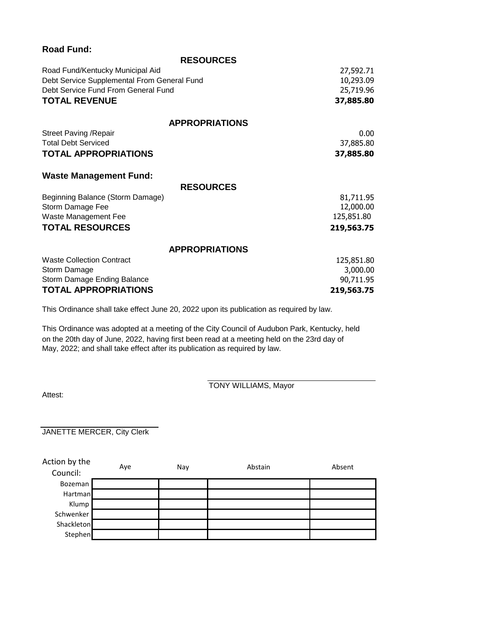| <b>Road Fund:</b>                           |            |
|---------------------------------------------|------------|
| <b>RESOURCES</b>                            |            |
| Road Fund/Kentucky Municipal Aid            | 27,592.71  |
| Debt Service Supplemental From General Fund | 10,293.09  |
| Debt Service Fund From General Fund         | 25,719.96  |
| <b>TOTAL REVENUE</b>                        | 37,885.80  |
| <b>APPROPRIATIONS</b>                       |            |
| <b>Street Paving / Repair</b>               | 0.00       |
| <b>Total Debt Serviced</b>                  | 37,885.80  |
| <b>TOTAL APPROPRIATIONS</b>                 | 37,885.80  |
| <b>Waste Management Fund:</b>               |            |
| <b>RESOURCES</b>                            |            |
| Beginning Balance (Storm Damage)            | 81,711.95  |
| Storm Damage Fee                            | 12,000.00  |
| Waste Management Fee                        | 125,851.80 |
| <b>TOTAL RESOURCES</b>                      | 219,563.75 |
| <b>APPROPRIATIONS</b>                       |            |
| <b>Waste Collection Contract</b>            | 125,851.80 |
| Storm Damage                                | 3,000.00   |
| Storm Damage Ending Balance                 | 90,711.95  |
| <b>TOTAL APPROPRIATIONS</b>                 | 219,563.75 |

This Ordinance shall take effect June 20, 2022 upon its publication as required by law.

This Ordinance was adopted at a meeting of the City Council of Audubon Park, Kentucky, held on the 20th day of June, 2022, having first been read at a meeting held on the 23rd day of May, 2022; and shall take effect after its publication as required by law.

Attest:

TONY WILLIAMS, Mayor

JANETTE MERCER, City Clerk

| Action by the<br>Council: | Aye | Nay | Abstain | Absent |
|---------------------------|-----|-----|---------|--------|
| <b>Bozeman</b>            |     |     |         |        |
| Hartman                   |     |     |         |        |
| Klump                     |     |     |         |        |
| Schwenker                 |     |     |         |        |
| Shackleton                |     |     |         |        |
| Stephen                   |     |     |         |        |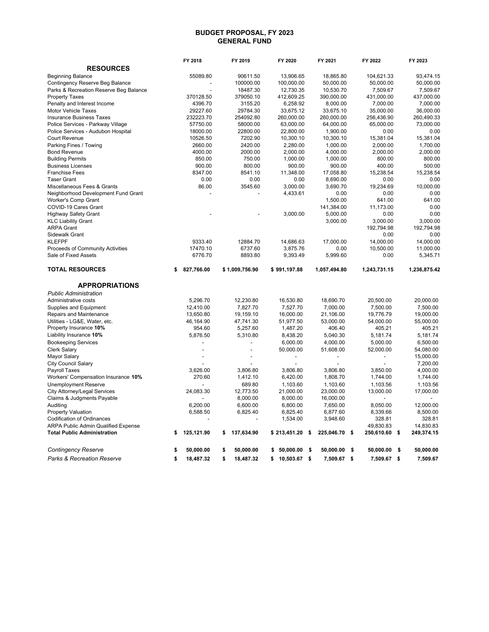#### **BUDGET PROPOSAL, FY 2023 GENERAL FUND**

|                                        | FY 2018          | FY 2019          | FY 2020         |    | FY 2021       |      | FY 2022                       | FY 2023               |
|----------------------------------------|------------------|------------------|-----------------|----|---------------|------|-------------------------------|-----------------------|
| <b>RESOURCES</b>                       |                  |                  |                 |    |               |      |                               |                       |
| <b>Beginning Balance</b>               | 55089.80         | 90611.50         | 13.906.65       |    | 18.865.80     |      | 104.621.33                    | 93.474.15             |
| Contingency Reserve Beg Balance        |                  | 100000.00        | 100,000.00      |    | 50,000.00     |      | 50,000.00                     | 50,000.00             |
| Parks & Recreation Reserve Beg Balance |                  | 18487.30         | 12,730.35       |    | 10,530.70     |      | 7,509.67                      | 7,509.67              |
| <b>Property Taxes</b>                  | 370128.50        | 379050.10        | 412,609.25      |    | 390,000.00    |      | 431,000.00                    | 437,000.00            |
| Penalty and Interest Income            | 4396.70          | 3155.20          | 6,258.92        |    | 8,000.00      |      | 7,000.00                      | 7,000.00              |
| Motor Vehicle Taxes                    | 29227.60         | 29784.30         | 33,675.12       |    | 33,675.10     |      | 35,000.00                     | 36,000.00             |
| <b>Insurance Business Taxes</b>        | 232223.70        | 254092.80        | 260,000.00      |    | 260,000.00    |      | 256,436.90                    | 260,490.33            |
| Police Services - Parkway Village      | 57750.00         | 58000.00         | 63,000.00       |    | 64,000.00     |      | 65,000.00                     | 73,000.00             |
| Police Services - Audubon Hospital     | 18000.00         | 22800.00         | 22,800.00       |    | 1,900.00      |      | 0.00                          | 0.00                  |
| <b>Court Revenue</b>                   | 10526.50         | 7202.90          | 10,300.10       |    | 10,300.10     |      | 15,381.04                     | 15,381.04             |
| Parking Fines / Towing                 | 2660.00          | 2420.00          | 2,280.00        |    | 1,000.00      |      | 2,000.00                      | 1,700.00              |
| <b>Bond Revenue</b>                    | 4000.00          | 2000.00          | 2,000.00        |    | 4,000.00      |      | 2,000.00                      | 2,000.00              |
| <b>Building Permits</b>                | 850.00           | 750.00           | 1,000.00        |    | 1,000.00      |      | 800.00                        | 800.00                |
| <b>Business Licenses</b>               | 900.00           | 800.00           | 900.00          |    | 900.00        |      | 400.00                        | 500.00                |
| <b>Franchise Fees</b>                  | 8347.00          | 8541.10          | 11,348.00       |    | 17,058.80     |      | 15,238.54                     | 15,238.54             |
| <b>Taser Grant</b>                     | 0.00             | 0.00             | 0.00            |    | 8,690.00      |      | 0.00                          | 0.00                  |
| Miscellaneous Fees & Grants            | 86.00            | 3545.60          | 3,000.00        |    | 3,690.70      |      | 19,234.69                     | 10,000.00             |
| Neighborhood Development Fund Grant    |                  |                  | 4,433.61        |    | 0.00          |      | 0.00                          | 0.00                  |
| Worker's Comp Grant                    |                  |                  |                 |    | 1,500.00      |      | 641.00                        | 641.00                |
| COVID-19 Cares Grant                   |                  |                  |                 |    | 141,384.00    |      | 11,173.00                     | 0.00                  |
| <b>Highway Safety Grant</b>            |                  |                  | 3,000.00        |    | 5,000.00      |      | 0.00                          | 0.00                  |
| <b>KLC Liability Grant</b>             |                  |                  |                 |    | 3,000.00      |      | 3,000.00                      | 3,000.00              |
| <b>ARPA Grant</b>                      |                  |                  |                 |    |               |      | 192.794.98                    | 192.794.98            |
| <b>Sidewalk Grant</b>                  |                  |                  |                 |    |               |      | 0.00                          | 0.00                  |
| <b>KLEFPF</b>                          | 9333.40          | 12884.70         | 14,686.63       |    | 17,000.00     |      | 14,000.00                     | 14.000.00             |
| Proceeds of Community Activities       | 17470.10         | 6737.60          | 3,875.76        |    | 0.00          |      | 10,500.00                     | 11,000.00             |
| Sale of Fixed Assets                   | 6776.70          | 8893.80          | 9,393.49        |    | 5,999.60      |      | 0.00                          | 5,345.71              |
| <b>TOTAL RESOURCES</b>                 | \$<br>827,766.00 | \$1,009,756.90   | \$991,197.88    |    | 1,057,494.80  |      | 1,243,731.15                  | 1,236,875.42          |
| <b>APPROPRIATIONS</b>                  |                  |                  |                 |    |               |      |                               |                       |
| <b>Public Administration</b>           |                  |                  |                 |    |               |      |                               |                       |
| Administrative costs                   | 5,296.70         | 12,230.80        | 16,530.80       |    | 18,690.70     |      | 20,500.00                     | 20,000.00             |
| Supplies and Equipment                 | 12,410.00        | 7,827.70         | 7,527.70        |    | 7,000.00      |      | 7,500.00                      | 7,500.00              |
| Repairs and Maintenance                | 13,650.80        | 19,159.10        | 16,000.00       |    | 21,106.00     |      | 19,776.79                     | 19,000.00             |
| Utilities - LG&E, Water, etc.          | 46,164.90        | 47,741.30        | 51,977.50       |    | 53,000.00     |      | 54,000.00                     | 55,000.00             |
| Property Insurance 10%                 | 954.60           | 5,257.60         | 1,487.20        |    | 406.40        |      | 405.21                        | 405.21                |
| Liability Insurance 10%                | 5,876.50         | 5,310.80         | 8,438.20        |    | 5,040.30      |      | 5,181.74                      | 5,181.74              |
| <b>Bookeeping Services</b>             |                  |                  | 6,000.00        |    | 4,000.00      |      | 5,000.00                      | 6,500.00              |
| <b>Clerk Salary</b>                    |                  | $\overline{a}$   | 50,000.00       |    | 51,608.00     |      | 52,000.00                     | 54,080.00             |
| Mayor Salary                           |                  |                  |                 |    |               |      | $\overline{a}$                | 15,000.00             |
| <b>City Council Salary</b>             |                  |                  |                 |    |               |      | $\overline{\phantom{a}}$      | 7,200.00              |
| Payroll Taxes                          | 3,626.00         | 3,806.80         | 3,806.80        |    | 3,806.80      |      | 3,850.00                      | 4,000.00              |
| Workers' Compensation Insurance 10%    | 270.60           | 1.412.10         | 6.420.00        |    | 1.808.70      |      | 1,744.00                      | 1,744.00              |
| <b>Unemployment Reserve</b>            | $\overline{a}$   | 689.80           | 1,103.60        |    | 1,103.60      |      | 1,103.56                      | 1,103.56              |
| <b>City Attorney/Legal Services</b>    | 24,083.30        | 12,773.50        | 21,000.00       |    | 23,000.00     |      | 13,000.00                     | 17,000.00             |
| Claims & Judgments Payable             |                  | 8,000.00         | 8,000.00        |    | 16,000.00     |      |                               |                       |
| Auditing                               | 6,200.00         | 6,600.00         | 6,800.00        |    | 7,650.00      |      | 8,050.00                      | 12,000.00             |
| <b>Property Valuation</b>              | 6,588.50         | 6,825.40         | 6,825.40        |    | 6,877.60      |      | 8,339.66                      | 8,500.00              |
| <b>Codification of Ordinances</b>      |                  |                  | 1,534.00        |    | 3,948.60      |      | 328.81                        | 328.81                |
| ARPA Public Admin Qualified Expense    |                  |                  |                 |    |               |      | 49,830.83                     | 14,830.83             |
| <b>Total Public Administration</b>     | \$<br>125,121.90 | \$<br>137,634.90 | \$213,451.20    | s. | 225,046.70 \$ |      | 250,610.60 \$                 | 249,374.15            |
|                                        |                  |                  |                 |    |               |      |                               |                       |
| <b>Contingency Reserve</b>             | \$<br>50,000.00  | \$<br>50,000.00  | \$50.000.00     | -S | 50.000.00     | - \$ |                               |                       |
| <b>Parks &amp; Recreation Reserve</b>  | \$<br>18,487.32  | \$<br>18.487.32  | $$10,503.67$ \$ |    | 7,509.67 \$   |      | $50,000.00$ \$<br>7,509.67 \$ | 50,000.00<br>7,509.67 |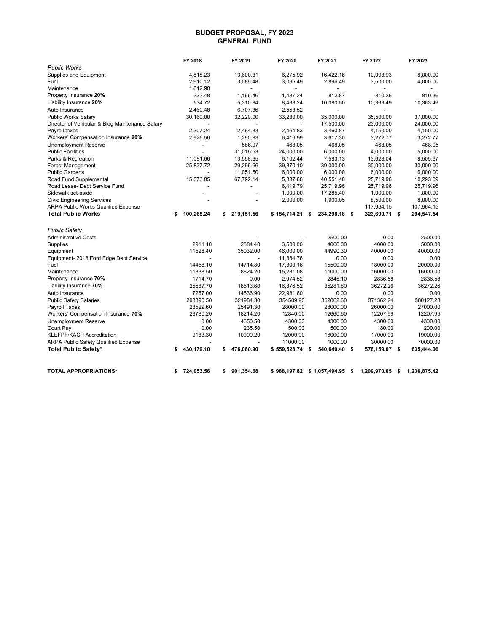#### **BUDGET PROPOSAL, FY 2023 GENERAL FUND**

|                                                 | FY 2018          |           | FY 2019                  | FY 2020          | FY 2021        |      | FY 2022       |      | FY 2023                  |
|-------------------------------------------------|------------------|-----------|--------------------------|------------------|----------------|------|---------------|------|--------------------------|
| <b>Public Works</b>                             |                  |           |                          |                  |                |      |               |      |                          |
| Supplies and Equipment                          |                  | 4,818.23  | 13,600.31                | 6,275.92         | 16,422.16      |      | 10,093.93     |      | 8,000.00                 |
| Fuel                                            |                  | 2,910.12  | 3,089.48                 | 3,096.49         | 2,896.49       |      | 3,500.00      |      | 4,000.00                 |
| Maintenance                                     |                  | 1,812.98  |                          |                  |                |      |               |      |                          |
| Property Insurance 20%                          |                  | 333.48    | 1.166.46                 | 1.487.24         | 812.87         |      | 810.36        |      | 810.36                   |
| Liability Insurance 20%                         |                  | 534.72    | 5,310.84                 | 8,438.24         | 10.080.50      |      | 10.363.49     |      | 10.363.49                |
| Auto Insurance                                  |                  | 2.469.48  | 6.707.36                 | 2.553.52         |                |      |               |      | $\overline{\phantom{a}}$ |
| <b>Public Works Salary</b>                      |                  | 30,160.00 | 32,220.00                | 33,280.00        | 35,000.00      |      | 35,500.00     |      | 37,000.00                |
| Director of Vehicular & Bldg Maintenance Salary |                  |           |                          |                  | 17,500.00      |      | 23,000.00     |      | 24,000.00                |
| Payroll taxes                                   |                  | 2,307.24  | 2,464.83                 | 2,464.83         | 3,460.87       |      | 4,150.00      |      | 4,150.00                 |
| Workers' Compensation Insurance 20%             |                  | 2,926.56  | 1,290.83                 | 6,419.99         | 3,617.30       |      | 3,272.77      |      | 3,272.77                 |
| Unemployment Reserve                            |                  |           | 586.97                   | 468.05           | 468.05         |      | 468.05        |      | 468.05                   |
| <b>Public Facilities</b>                        |                  |           | 31.015.53                | 24,000.00        | 6,000.00       |      | 4,000.00      |      | 5,000.00                 |
| Parks & Recreation                              |                  | 11,081.66 | 13,558.65                | 6,102.44         | 7,583.13       |      | 13,628.04     |      | 8,505.67                 |
| <b>Forest Management</b>                        |                  | 25,837.72 | 29.296.66                | 39,370.10        | 39,000.00      |      | 30,000.00     |      | 30.000.00                |
| <b>Public Gardens</b>                           |                  |           | 11,051.50                | 6,000.00         | 6,000.00       |      | 6,000.00      |      | 6,000.00                 |
| Road Fund Supplemental                          |                  | 15,073.05 | 67,792.14                | 5,337.60         | 40,551.40      |      | 25,719.96     |      | 10,293.09                |
| Road Lease- Debt Service Fund                   |                  |           | $\overline{\phantom{0}}$ | 6,419.79         | 25,719.96      |      | 25,719.96     |      | 25,719.96                |
| Sidewalk set-aside                              |                  |           |                          | 1,000.00         | 17,285.40      |      | 1,000.00      |      | 1,000.00                 |
| <b>Civic Engineering Services</b>               |                  |           | ÷,                       | 2,000.00         | 1,900.05       |      | 8,500.00      |      | 8,000.00                 |
| <b>ARPA Public Works Qualified Expense</b>      |                  |           |                          |                  |                |      | 117,964.15    |      | 107,964.15               |
| <b>Total Public Works</b>                       | 100,265.24<br>\$ |           | \$<br>219,151.56         | $$154,714.21$ \$ | 234,298.18 \$  |      | 323,690.71 \$ |      | 294,547.54               |
| <b>Public Safety</b>                            |                  |           |                          |                  |                |      |               |      |                          |
| <b>Administrative Costs</b>                     |                  |           |                          |                  | 2500.00        |      | 0.00          |      | 2500.00                  |
| Supplies                                        |                  | 2911.10   | 2884.40                  | 3.500.00         | 4000.00        |      | 4000.00       |      | 5000.00                  |
| Equipment                                       |                  | 11528.40  | 35032.00                 | 46,000.00        | 44990.30       |      | 40000.00      |      | 40000.00                 |
| Equipment- 2018 Ford Edge Debt Service          |                  |           |                          | 11,384.76        | 0.00           |      | 0.00          |      | 0.00                     |
| Fuel                                            |                  | 14458.10  | 14714.80                 | 17,300.16        | 15500.00       |      | 18000.00      |      | 20000.00                 |
| Maintenance                                     |                  | 11838.50  | 8824.20                  | 15,281.08        | 11000.00       |      | 16000.00      |      | 16000.00                 |
| Property Insurance 70%                          |                  | 1714.70   | 0.00                     | 2,974.52         | 2845.10        |      | 2836.58       |      | 2836.58                  |
| Liability Insurance 70%                         |                  | 25587.70  | 18513.60                 | 16,876.52        | 35281.80       |      | 36272.26      |      | 36272.26                 |
| Auto Insurance                                  |                  | 7257.00   | 14536.90                 | 22,981.80        | 0.00           |      | 0.00          |      | 0.00                     |
| <b>Public Safety Salaries</b>                   |                  | 298390.50 | 321984.30                | 354589.90        | 362062.60      |      | 371362.24     |      | 380127.23                |
| Payroll Taxes                                   |                  | 23529.60  | 25491.30                 | 28000.00         | 28000.00       |      | 26000.00      |      | 27000.00                 |
| Workers' Compensation Insurance 70%             |                  | 23780.20  | 18214.20                 | 12840.00         | 12660.60       |      | 12207.99      |      | 12207.99                 |
| <b>Unemployment Reserve</b>                     |                  | 0.00      | 4650.50                  | 4300.00          | 4300.00        |      | 4300.00       |      | 4300.00                  |
| Court Pay                                       |                  | 0.00      | 235.50                   | 500.00           | 500.00         |      | 180.00        |      | 200.00                   |
| <b>KLEFPF/KACP Accreditation</b>                |                  | 9183.30   | 10999.20                 | 12000.00         | 16000.00       |      | 17000.00      |      | 19000.00                 |
| ARPA Public Safety Qualified Expense            |                  |           |                          | 11000.00         | 1000.00        |      | 30000.00      |      | 70000.00                 |
| Total Public Safety*                            | 430,179.10<br>\$ |           | \$<br>476,080.90         | $$559,528.74$ \$ | 540,640.40 \$  |      | 578,159.07 \$ |      | 635,444.06               |
| <b>TOTAL APPROPRIATIONS*</b>                    | 724,053.56<br>\$ |           | \$<br>901,354.68         | \$988.197.82     | \$1,057,494.95 | - \$ | 1,209,970.05  | - \$ | 1,236,875.42             |
|                                                 |                  |           |                          |                  |                |      |               |      |                          |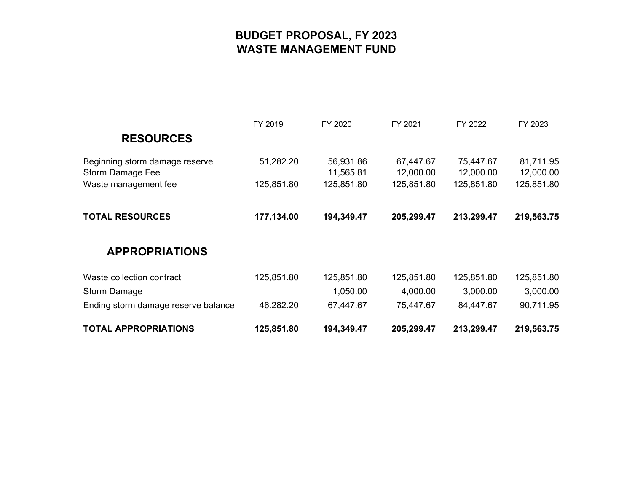# **BUDGET PROPOSAL, FY 2023 WASTE MANAGEMENT FUND**

|                                                    | FY 2019    | FY 2020                | FY 2021                | FY 2022                | FY 2023                |
|----------------------------------------------------|------------|------------------------|------------------------|------------------------|------------------------|
| <b>RESOURCES</b>                                   |            |                        |                        |                        |                        |
| Beginning storm damage reserve<br>Storm Damage Fee | 51,282.20  | 56,931.86<br>11,565.81 | 67,447.67<br>12,000.00 | 75,447.67<br>12,000.00 | 81,711.95<br>12,000.00 |
| Waste management fee                               | 125,851.80 | 125,851.80             | 125,851.80             | 125,851.80             | 125,851.80             |
| <b>TOTAL RESOURCES</b>                             | 177,134.00 | 194,349.47             | 205,299.47             | 213,299.47             | 219,563.75             |
| <b>APPROPRIATIONS</b>                              |            |                        |                        |                        |                        |
| Waste collection contract                          | 125,851.80 | 125,851.80             | 125,851.80             | 125,851.80             | 125,851.80             |
| Storm Damage                                       |            | 1,050.00               | 4,000.00               | 3,000.00               | 3,000.00               |
| Ending storm damage reserve balance                | 46.282.20  | 67,447.67              | 75,447.67              | 84,447.67              | 90,711.95              |
| <b>TOTAL APPROPRIATIONS</b>                        | 125,851.80 | 194,349.47             | 205,299.47             | 213,299.47             | 219,563.75             |